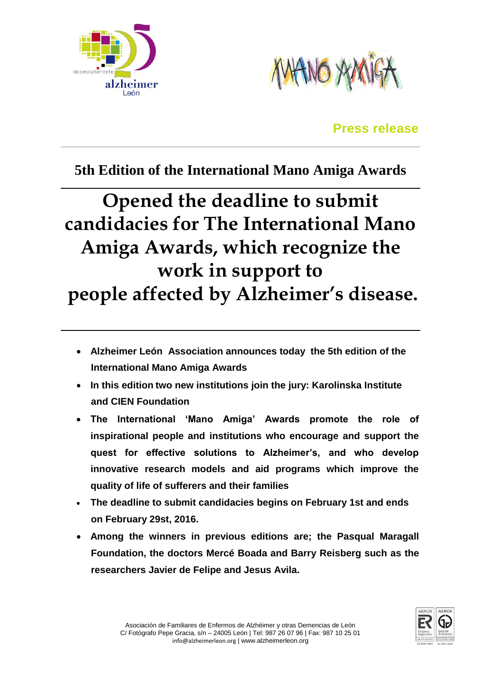



# **Press release**

# **5th Edition of the International Mano Amiga Awards**

# **Opened the deadline to submit candidacies for The International Mano Amiga Awards, which recognize the work in support to people affected by Alzheimer's disease.**

- **Alzheimer León Association announces today the 5th edition of the International Mano Amiga Awards**
- **In this edition two new institutions join the jury: Karolinska Institute and CIEN Foundation**
- **The International 'Mano Amiga' Awards promote the role of inspirational people and institutions who encourage and support the quest for effective solutions to Alzheimer's, and who develop innovative research models and aid programs which improve the quality of life of sufferers and their families**
- **The deadline to submit candidacies begins on February 1st and ends on February 29st, 2016.**
- **Among the winners in previous editions are; the Pasqual Maragall Foundation, the doctors Mercé Boada and Barry Reisberg such as the researchers Javier de Felipe and Jesus Avila.**

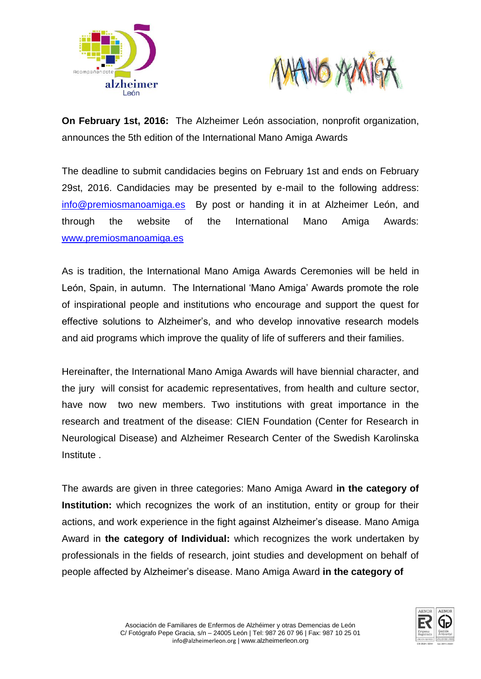



**On February 1st, 2016:** The Alzheimer León association, nonprofit organization, announces the 5th edition of the International Mano Amiga Awards

The deadline to submit candidacies begins on February 1st and ends on February 29st, 2016. Candidacies may be presented by e-mail to the following address: [info@premiosmanoamiga.es](mailto:info@premiosmanoamiga.es) By post or handing it in at Alzheimer León, and through the website of the International Mano Amiga Awards: [www.premiosmanoamiga.es](http://www.premiosmanoamiga.es/)

As is tradition, the International Mano Amiga Awards Ceremonies will be held in León, Spain, in autumn. The International 'Mano Amiga' Awards promote the role of inspirational people and institutions who encourage and support the quest for effective solutions to Alzheimer's, and who develop innovative research models and aid programs which improve the quality of life of sufferers and their families.

Hereinafter, the International Mano Amiga Awards will have biennial character, and the jury will consist for academic representatives, from health and culture sector, have now two new members. Two institutions with great importance in the research and treatment of the disease: CIEN Foundation (Center for Research in Neurological Disease) and Alzheimer Research Center of the Swedish Karolinska Institute .

The awards are given in three categories: Mano Amiga Award **in the category of Institution:** which recognizes the work of an institution, entity or group for their actions, and work experience in the fight against Alzheimer's disease. Mano Amiga Award in **the category of Individual:** which recognizes the work undertaken by professionals in the fields of research, joint studies and development on behalf of people affected by Alzheimer's disease. Mano Amiga Award **in the category of** 

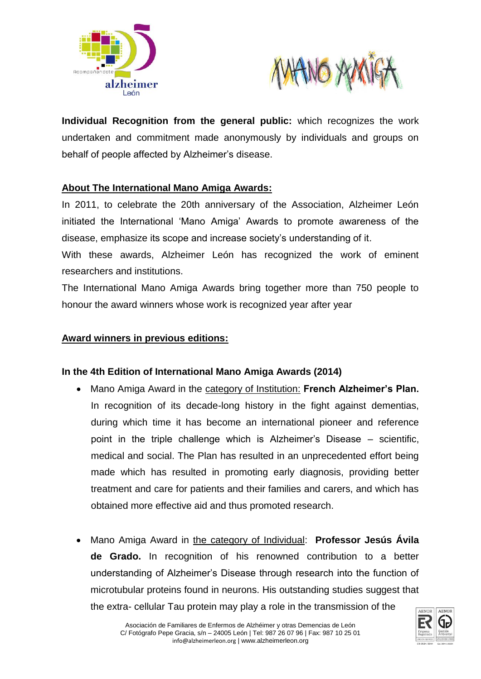



**Individual Recognition from the general public:** which recognizes the work undertaken and commitment made anonymously by individuals and groups on behalf of people affected by Alzheimer's disease.

## **About The International Mano Amiga Awards:**

In 2011, to celebrate the 20th anniversary of the Association, Alzheimer León initiated the International 'Mano Amiga' Awards to promote awareness of the disease, emphasize its scope and increase society's understanding of it.

With these awards, Alzheimer León has recognized the work of eminent researchers and institutions.

The International Mano Amiga Awards bring together more than 750 people to honour the award winners whose work is recognized year after year

#### **Award winners in previous editions:**

## **In the 4th Edition of International Mano Amiga Awards (2014)**

- Mano Amiga Award in the category of Institution: **French Alzheimer's Plan.** In recognition of its decade-long history in the fight against dementias, during which time it has become an international pioneer and reference point in the triple challenge which is Alzheimer's Disease – scientific, medical and social. The Plan has resulted in an unprecedented effort being made which has resulted in promoting early diagnosis, providing better treatment and care for patients and their families and carers, and which has obtained more effective aid and thus promoted research.
- Mano Amiga Award in the category of Individual: **Professor Jesús Ávila de Grado.** In recognition of his renowned contribution to a better understanding of Alzheimer's Disease through research into the function of microtubular proteins found in neurons. His outstanding studies suggest that the extra- cellular Tau protein may play a role in the transmission of the

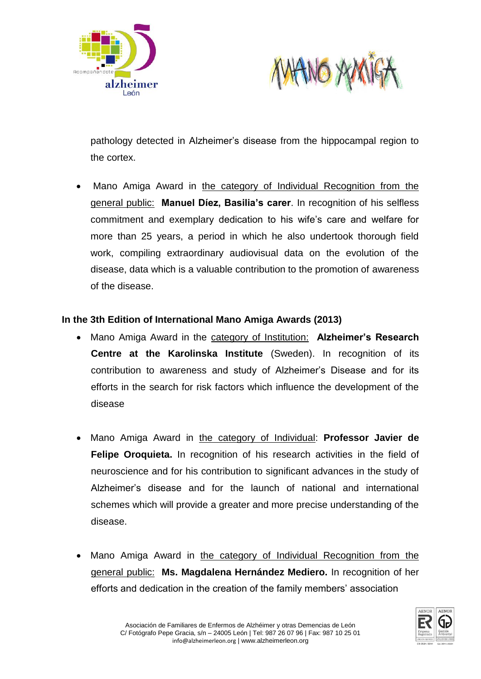



pathology detected in Alzheimer's disease from the hippocampal region to the cortex.

 Mano Amiga Award in the category of Individual Recognition from the general public: **Manuel Díez, Basilia's carer**. In recognition of his selfless commitment and exemplary dedication to his wife's care and welfare for more than 25 years, a period in which he also undertook thorough field work, compiling extraordinary audiovisual data on the evolution of the disease, data which is a valuable contribution to the promotion of awareness of the disease.

#### **In the 3th Edition of International Mano Amiga Awards (2013)**

- Mano Amiga Award in the category of Institution: **Alzheimer's Research Centre at the Karolinska Institute** (Sweden). In recognition of its contribution to awareness and study of Alzheimer's Disease and for its efforts in the search for risk factors which influence the development of the disease
- Mano Amiga Award in the category of Individual: **Professor Javier de Felipe Oroquieta.** In recognition of his research activities in the field of neuroscience and for his contribution to significant advances in the study of Alzheimer's disease and for the launch of national and international schemes which will provide a greater and more precise understanding of the disease.
- Mano Amiga Award in the category of Individual Recognition from the general public: **Ms. Magdalena Hernández Mediero.** In recognition of her efforts and dedication in the creation of the family members' association

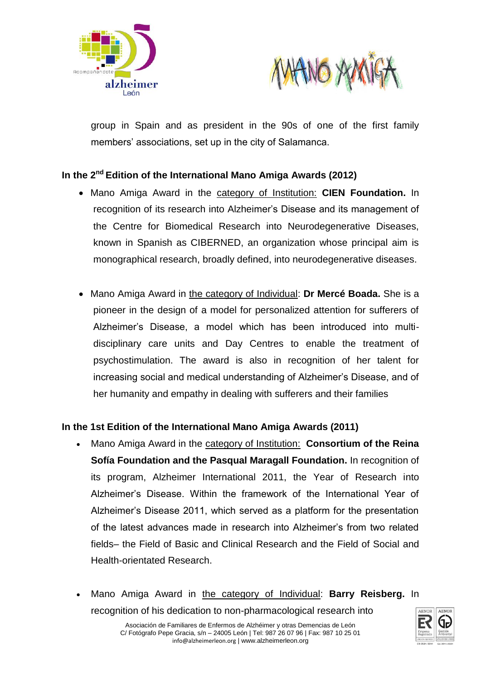



group in Spain and as president in the 90s of one of the first family members' associations, set up in the city of Salamanca.

# **In the 2nd Edition of the International Mano Amiga Awards (2012)**

- Mano Amiga Award in the category of Institution: **CIEN Foundation.** In recognition of its research into Alzheimer's Disease and its management of the Centre for Biomedical Research into Neurodegenerative Diseases, known in Spanish as CIBERNED, an organization whose principal aim is monographical research, broadly defined, into neurodegenerative diseases.
- Mano Amiga Award in the category of Individual: **Dr Mercé Boada.** She is a pioneer in the design of a model for personalized attention for sufferers of Alzheimer's Disease, a model which has been introduced into multidisciplinary care units and Day Centres to enable the treatment of psychostimulation. The award is also in recognition of her talent for increasing social and medical understanding of Alzheimer's Disease, and of her humanity and empathy in dealing with sufferers and their families

## **In the 1st Edition of the International Mano Amiga Awards (2011)**

- Mano Amiga Award in the category of Institution: **Consortium of the Reina Sofía Foundation and the Pasqual Maragall Foundation.** In recognition of its program, Alzheimer International 2011, the Year of Research into Alzheimer's Disease. Within the framework of the International Year of Alzheimer's Disease 2011, which served as a platform for the presentation of the latest advances made in research into Alzheimer's from two related fields– the Field of Basic and Clinical Research and the Field of Social and Health-orientated Research.
- Mano Amiga Award in the category of Individual: **Barry Reisberg.** In recognition of his dedication to non-pharmacological research into